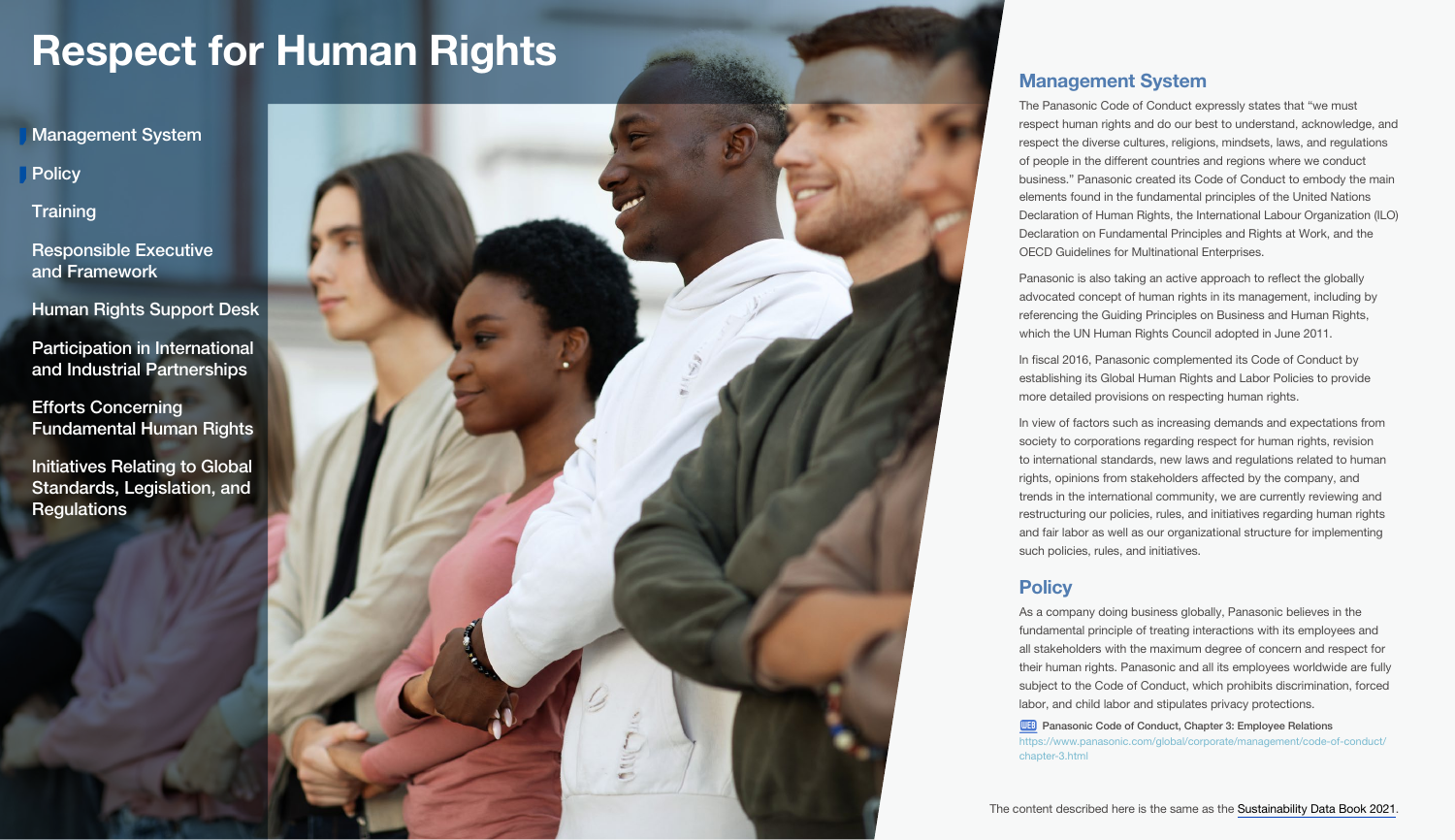<span id="page-0-0"></span>Management System

**Policy** 

**Training** 

[Responsible Executive](#page-1-0)  and Framework

[Human Rights Support Desk](#page-1-0)

[Participation in International](#page-1-0)  and Industrial Partnerships

Efforts Concerning [Fundamental Human Rights](#page-2-0) 

[Initiatives Relating to Global](#page-5-0)  Standards, Legislation, and **Regulations** 



# Management System

The Panasonic Code of Conduct expressly states that "we must respect human rights and do our best to understand, acknowledge, and respect the diverse cultures, religions, mindsets, laws, and regulations of people in the different countries and regions where we conduct business." Panasonic created its Code of Conduct to embody the main elements found in the fundamental principles of the United Nations Declaration of Human Rights, the International Labour Organization (ILO) Declaration on Fundamental Principles and Rights at Work, and the OECD Guidelines for Multinational Enterprises.

Panasonic is also taking an active approach to reflect the globally advocated concept of human rights in its management, including by referencing the Guiding Principles on Business and Human Rights, which the UN Human Rights Council adopted in June 2011.

In fiscal 2016, Panasonic complemented its Code of Conduct by establishing its Global Human Rights and Labor Policies to provide more detailed provisions on respecting human rights.

In view of factors such as increasing demands and expectations from society to corporations regarding respect for human rights, revision to international standards, new laws and regulations related to human rights, opinions from stakeholders affected by the company, and trends in the international community, we are currently reviewing and restructuring our policies, rules, and initiatives regarding human rights and fair labor as well as our organizational structure for implementing such policies, rules, and initiatives.

# **Policy**

As a company doing business globally, Panasonic believes in the fundamental principle of treating interactions with its employees and all stakeholders with the maximum degree of concern and respect for their human rights. Panasonic and all its employees worldwide are fully subject to the Code of Conduct, which prohibits discrimination, forced labor, and child labor and stipulates privacy protections.

**WEB** [Panasonic Code of Conduct, Chapter 3: Employee Relations](https://www.panasonic.com/global/corporate/management/code-of-conduct/chapter-3.html) [https://www.panasonic.com/global/corporate/management/code-of-conduct/](https://www.panasonic.com/global/corporate/management/code-of-conduct/chapter-3.html) [chapter-3.html](https://www.panasonic.com/global/corporate/management/code-of-conduct/chapter-3.html)

The content described here is the same as the [Sustainability Data Book 2021](https://holdings.panasonic/global/corporate/sustainability/pdf/sdb2021e.pdf).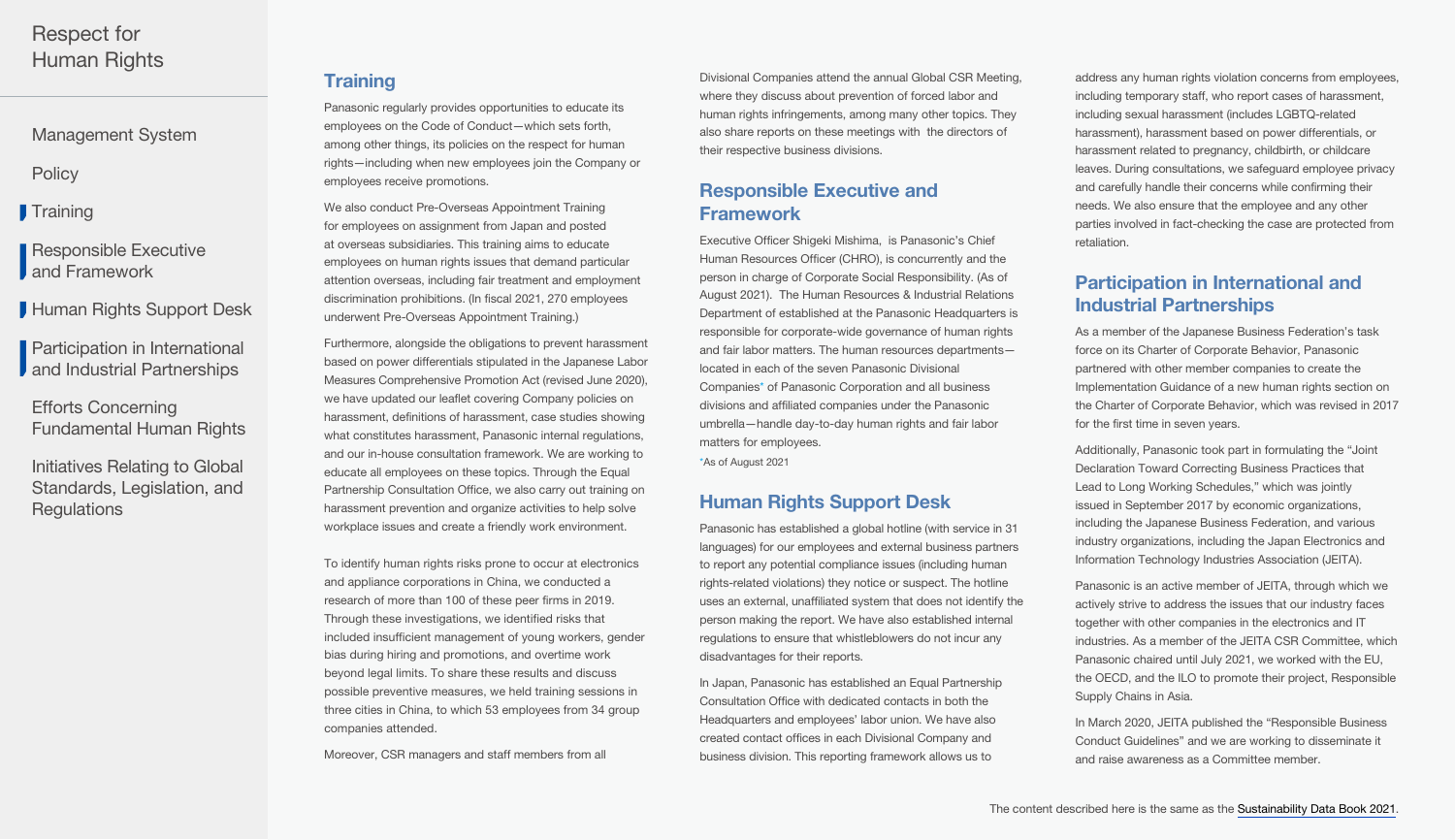<span id="page-1-0"></span>[Management System](#page-0-0)

**[Policy](#page-0-0)** 

**Training** 

Responsible Executive **J** and Framework

Human Rights Support Desk

Participation in International **J** and Industrial Partnerships

Efforts Concerning [Fundamental Human Rights](#page-2-0) 

[Initiatives Relating to Global](#page-5-0)  Standards, Legislation, and **Regulations** 

# **Training**

Panasonic regularly provides opportunities to educate its employees on the Code of Conduct—which sets forth, among other things, its policies on the respect for human rights—including when new employees join the Company or employees receive promotions.

We also conduct Pre-Overseas Appointment Training for employees on assignment from Japan and posted at overseas subsidiaries. This training aims to educate employees on human rights issues that demand particular attention overseas, including fair treatment and employment discrimination prohibitions. (In fiscal 2021, 270 employees underwent Pre-Overseas Appointment Training.)

Furthermore, alongside the obligations to prevent harassment based on power differentials stipulated in the Japanese Labor Measures Comprehensive Promotion Act (revised June 2020), we have updated our leaflet covering Company policies on harassment, definitions of harassment, case studies showing what constitutes harassment, Panasonic internal regulations, and our in-house consultation framework. We are working to educate all employees on these topics. Through the Equal Partnership Consultation Office, we also carry out training on harassment prevention and organize activities to help solve workplace issues and create a friendly work environment.

To identify human rights risks prone to occur at electronics and appliance corporations in China, we conducted a research of more than 100 of these peer firms in 2019. Through these investigations, we identified risks that included insufficient management of young workers, gender bias during hiring and promotions, and overtime work beyond legal limits. To share these results and discuss possible preventive measures, we held training sessions in three cities in China, to which 53 employees from 34 group companies attended.

Moreover, CSR managers and staff members from all

Divisional Companies attend the annual Global CSR Meeting, where they discuss about prevention of forced labor and human rights infringements, among many other topics. They also share reports on these meetings with the directors of their respective business divisions.

# Responsible Executive and Framework

Executive Officer Shigeki Mishima, is Panasonic's Chief Human Resources Officer (CHRO), is concurrently and the person in charge of Corporate Social Responsibility. (As of August 2021). The Human Resources & Industrial Relations Department of established at the Panasonic Headquarters is responsible for corporate-wide governance of human rights and fair labor matters. The human resources departments located in each of the seven Panasonic Divisional Companies\* of Panasonic Corporation and all business divisions and affiliated companies under the Panasonic umbrella—handle day-to-day human rights and fair labor matters for employees.

\*As of August 2021

# Human Rights Support Desk

Panasonic has established a global hotline (with service in 31 languages) for our employees and external business partners to report any potential compliance issues (including human rights-related violations) they notice or suspect. The hotline uses an external, unaffiliated system that does not identify the person making the report. We have also established internal regulations to ensure that whistleblowers do not incur any disadvantages for their reports.

In Japan, Panasonic has established an Equal Partnership Consultation Office with dedicated contacts in both the Headquarters and employees' labor union. We have also created contact offices in each Divisional Company and business division. This reporting framework allows us to

address any human rights violation concerns from employees. including temporary staff, who report cases of harassment, including sexual harassment (includes LGBTQ-related harassment), harassment based on power differentials, or harassment related to pregnancy, childbirth, or childcare leaves. During consultations, we safeguard employee privacy and carefully handle their concerns while confirming their needs. We also ensure that the employee and any other parties involved in fact-checking the case are protected from retaliation.

# Participation in International and Industrial Partnerships

As a member of the Japanese Business Federation's task force on its Charter of Corporate Behavior, Panasonic partnered with other member companies to create the Implementation Guidance of a new human rights section on the Charter of Corporate Behavior, which was revised in 2017 for the first time in seven years.

Additionally, Panasonic took part in formulating the "Joint Declaration Toward Correcting Business Practices that Lead to Long Working Schedules," which was jointly issued in September 2017 by economic organizations, including the Japanese Business Federation, and various industry organizations, including the Japan Electronics and Information Technology Industries Association (JEITA).

Panasonic is an active member of JEITA, through which we actively strive to address the issues that our industry faces together with other companies in the electronics and IT industries. As a member of the JEITA CSR Committee, which Panasonic chaired until July 2021, we worked with the EU, the OECD, and the ILO to promote their project, Responsible Supply Chains in Asia.

In March 2020, JEITA published the "Responsible Business Conduct Guidelines" and we are working to disseminate it and raise awareness as a Committee member.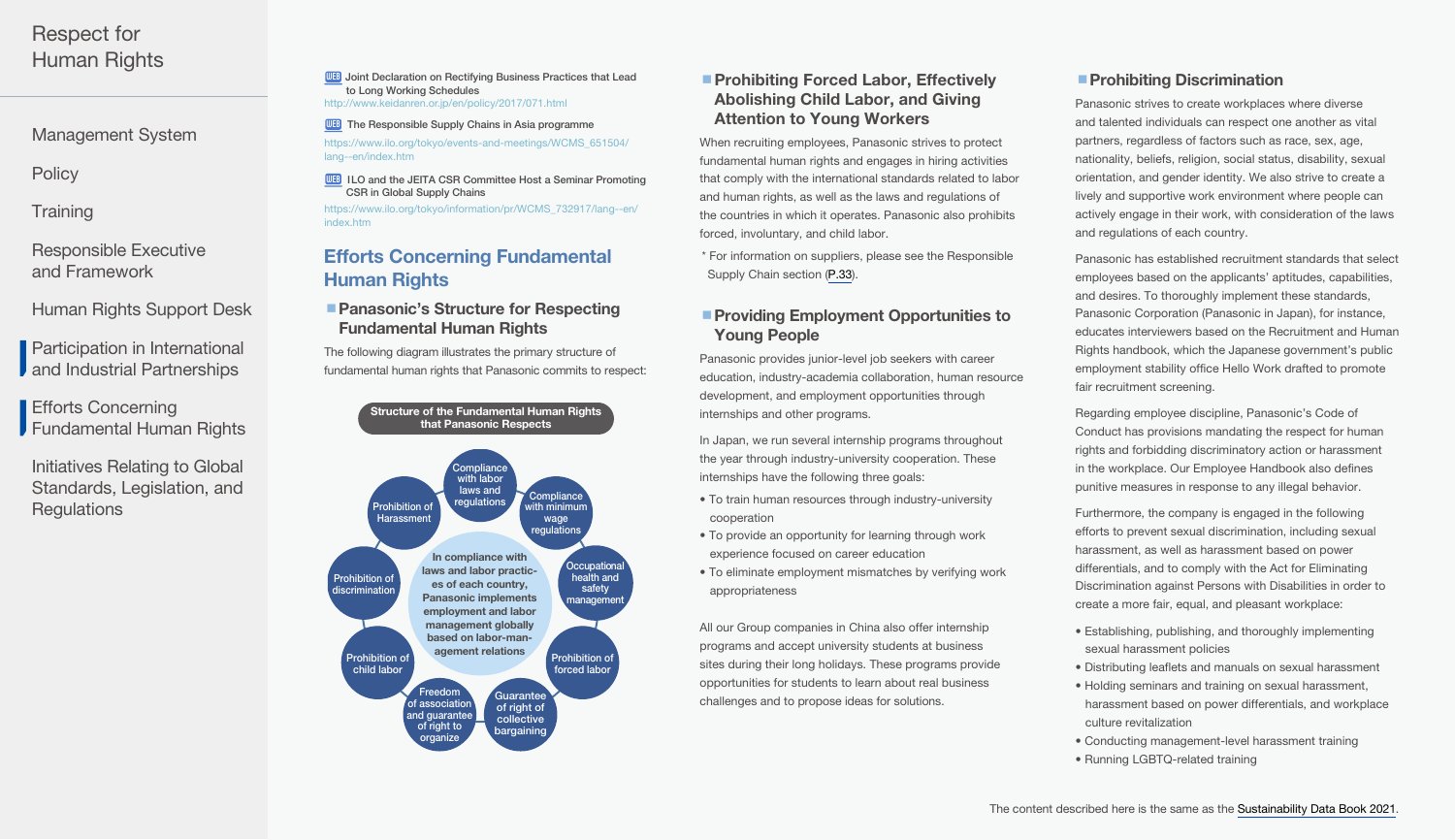<span id="page-2-0"></span>[Management System](#page-0-0)

**[Policy](#page-0-0)** 

**Training** 

[Responsible Executive](#page-1-0)  and Framework

[Human Rights Support Desk](#page-1-0)

[Participation in International](#page-1-0)  **J** and Industrial Partnerships

Efforts Concerning Fundamental Human Rights

[Initiatives Relating to Global](#page-5-0)  Standards, Legislation, and **Regulations** 

WEB Joint Declaration on Rectifying Business Practices that Lead [to Long Working Schedules](http://www.keidanren.or.jp/en/policy/2017/071.html)  <http://www.keidanren.or.jp/en/policy/2017/071.html>

**WEB** [The Responsible Supply Chains in Asia programme](https://www.ilo.org/tokyo/events-and-meetings/WCMS_651504/lang--en/index.htm) [https://www.ilo.org/tokyo/events-and-meetings/WCMS\\_651504/](https://www.ilo.org/tokyo/events-and-meetings/WCMS_651504/lang--en/index.htm) [lang--en/index.htm](https://www.ilo.org/tokyo/events-and-meetings/WCMS_651504/lang--en/index.htm)

**WEB ILO and the JEITA CSR Committee Host a Seminar Promoting** [CSR in Global Supply Chains](https://www.ilo.org/tokyo/information/pr/WCMS_732917/lang--en/index.htm)

[https://www.ilo.org/tokyo/information/pr/WCMS\\_732917/lang--en/](https://www.ilo.org/tokyo/information/pr/WCMS_732917/lang--en/index.htm) [index.htm](https://www.ilo.org/tokyo/information/pr/WCMS_732917/lang--en/index.htm)

# Efforts Concerning Fundamental Human Rights

# ■ Panasonic's Structure for Respecting Fundamental Human Rights

The following diagram illustrates the primary structure of fundamental human rights that Panasonic commits to respect:



# ■ Prohibiting Forced Labor, Effectively Abolishing Child Labor, and Giving Attention to Young Workers

When recruiting employees, Panasonic strives to protect fundamental human rights and engages in hiring activities that comply with the international standards related to labor and human rights, as well as the laws and regulations of the countries in which it operates. Panasonic also prohibits forced, involuntary, and child labor.

\* For information on suppliers, please see the Responsible Supply Chain section [\(P.33](https://holdings.panasonic/global/corporate/sustainability/pdf/sdb202204e-supply_chain.pdf#suppliers)).

## ■ Providing Employment Opportunities to Young People

Panasonic provides junior-level job seekers with career education, industry-academia collaboration, human resource development, and employment opportunities through internships and other programs.

In Japan, we run several internship programs throughout the year through industry-university cooperation. These internships have the following three goals:

- To train human resources through industry-university cooperation
- To provide an opportunity for learning through work experience focused on career education
- To eliminate employment mismatches by verifying work appropriateness

All our Group companies in China also offer internship programs and accept university students at business sites during their long holidays. These programs provide opportunities for students to learn about real business challenges and to propose ideas for solutions.

# **Prohibiting Discrimination**

Panasonic strives to create workplaces where diverse and talented individuals can respect one another as vital partners, regardless of factors such as race, sex, age, nationality, beliefs, religion, social status, disability, sexual orientation, and gender identity. We also strive to create a lively and supportive work environment where people can actively engage in their work, with consideration of the laws and regulations of each country.

Panasonic has established recruitment standards that select employees based on the applicants' aptitudes, capabilities, and desires. To thoroughly implement these standards, Panasonic Corporation (Panasonic in Japan), for instance, educates interviewers based on the Recruitment and Human Rights handbook, which the Japanese government's public employment stability office Hello Work drafted to promote fair recruitment screening.

Regarding employee discipline, Panasonic's Code of Conduct has provisions mandating the respect for human rights and forbidding discriminatory action or harassment in the workplace. Our Employee Handbook also defines punitive measures in response to any illegal behavior.

Furthermore, the company is engaged in the following efforts to prevent sexual discrimination, including sexual harassment, as well as harassment based on power differentials, and to comply with the Act for Eliminating Discrimination against Persons with Disabilities in order to create a more fair, equal, and pleasant workplace:

- Establishing, publishing, and thoroughly implementing sexual harassment policies
- Distributing leaflets and manuals on sexual harassment
- Holding seminars and training on sexual harassment, harassment based on power differentials, and workplace culture revitalization
- Conducting management-level harassment training • Running LGBTQ-related training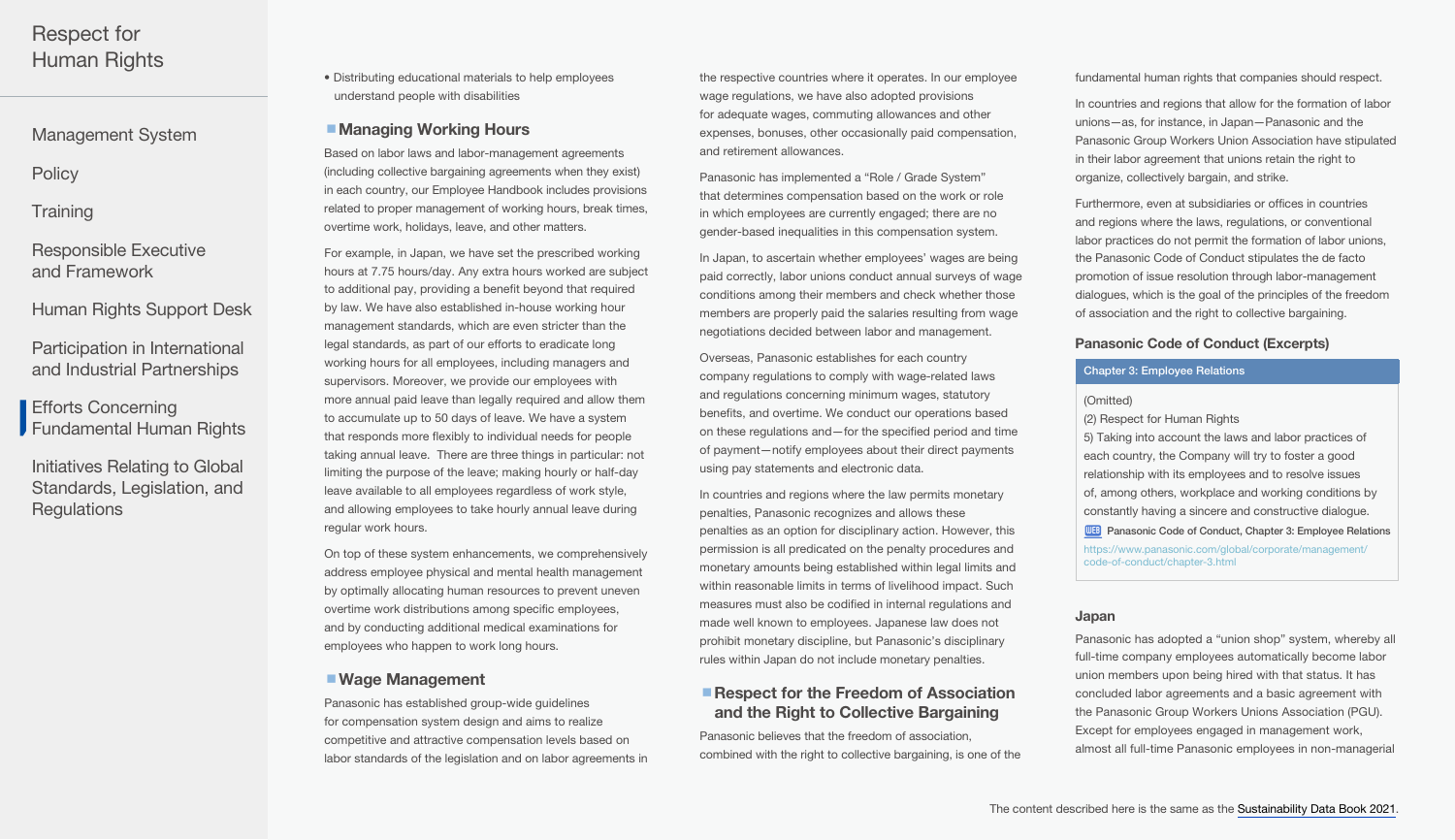<span id="page-3-0"></span>[Management System](#page-0-0)

**[Policy](#page-0-0)** 

**Training** 

[Responsible Executive](#page-1-0)  and Framework

[Human Rights Support Desk](#page-1-0)

[Participation in International](#page-1-0)  and Industrial Partnerships

Efforts Concerning [Fundamental Human Rights](#page-2-0) 

[Initiatives Relating to Global](#page-5-0)  Standards, Legislation, and **Regulations** 

• Distributing educational materials to help employees understand people with disabilities

## ■ Managing Working Hours

Based on labor laws and labor-management agreements (including collective bargaining agreements when they exist) in each country, our Employee Handbook includes provisions related to proper management of working hours, break times, overtime work, holidays, leave, and other matters.

For example, in Japan, we have set the prescribed working hours at 7.75 hours/day. Any extra hours worked are subject to additional pay, providing a benefit beyond that required by law. We have also established in-house working hour management standards, which are even stricter than the legal standards, as part of our efforts to eradicate long working hours for all employees, including managers and supervisors. Moreover, we provide our employees with more annual paid leave than legally required and allow them to accumulate up to 50 days of leave. We have a system that responds more flexibly to individual needs for people taking annual leave. There are three things in particular: not limiting the purpose of the leave; making hourly or half-day leave available to all employees regardless of work style, and allowing employees to take hourly annual leave during regular work hours.

On top of these system enhancements, we comprehensively address employee physical and mental health management by optimally allocating human resources to prevent uneven overtime work distributions among specific employees, and by conducting additional medical examinations for employees who happen to work long hours.

## ■ Wage Management

Panasonic has established group-wide guidelines for compensation system design and aims to realize competitive and attractive compensation levels based on labor standards of the legislation and on labor agreements in the respective countries where it operates. In our employee wage regulations, we have also adopted provisions for adequate wages, commuting allowances and other expenses, bonuses, other occasionally paid compensation, and retirement allowances.

Panasonic has implemented a "Role / Grade System" that determines compensation based on the work or role in which employees are currently engaged; there are no gender-based inequalities in this compensation system.

In Japan, to ascertain whether employees' wages are being paid correctly, labor unions conduct annual surveys of wage conditions among their members and check whether those members are properly paid the salaries resulting from wage negotiations decided between labor and management.

Overseas, Panasonic establishes for each country company regulations to comply with wage-related laws and regulations concerning minimum wages, statutory benefits, and overtime. We conduct our operations based on these regulations and—for the specified period and time of payment—notify employees about their direct payments using pay statements and electronic data.

In countries and regions where the law permits monetary penalties, Panasonic recognizes and allows these penalties as an option for disciplinary action. However, this permission is all predicated on the penalty procedures and monetary amounts being established within legal limits and within reasonable limits in terms of livelihood impact. Such measures must also be codified in internal regulations and made well known to employees. Japanese law does not prohibit monetary discipline, but Panasonic's disciplinary rules within Japan do not include monetary penalties.

## ■ Respect for the Freedom of Association and the Right to Collective Bargaining

Panasonic believes that the freedom of association, combined with the right to collective bargaining, is one of the fundamental human rights that companies should respect.

In countries and regions that allow for the formation of labor unions—as, for instance, in Japan—Panasonic and the Panasonic Group Workers Union Association have stipulated in their labor agreement that unions retain the right to organize, collectively bargain, and strike.

Furthermore, even at subsidiaries or offices in countries and regions where the laws, regulations, or conventional labor practices do not permit the formation of labor unions, the Panasonic Code of Conduct stipulates the de facto promotion of issue resolution through labor-management dialogues, which is the goal of the principles of the freedom of association and the right to collective bargaining.

#### Panasonic Code of Conduct (Excerpts)

#### Chapter 3: Employee Relations

(Omitted)

(2) Respect for Human Rights

5) Taking into account the laws and labor practices of each country, the Company will try to foster a good relationship with its employees and to resolve issues of, among others, workplace and working conditions by constantly having a sincere and constructive dialogue.

**WEB** [Panasonic Code of Conduct, Chapter 3: Employee Relations](https://www.panasonic.com/global/corporate/management/code-of-conduct/chapter-3.html)

[https://www.panasonic.com/global/corporate/management/](https://www.panasonic.com/global/corporate/management/code-of-conduct/chapter-3.html) [code-of-conduct/chapter-3.html](https://www.panasonic.com/global/corporate/management/code-of-conduct/chapter-3.html)

#### Japan

Panasonic has adopted a "union shop" system, whereby all full-time company employees automatically become labor union members upon being hired with that status. It has concluded labor agreements and a basic agreement with the Panasonic Group Workers Unions Association (PGU). Except for employees engaged in management work, almost all full-time Panasonic employees in non-managerial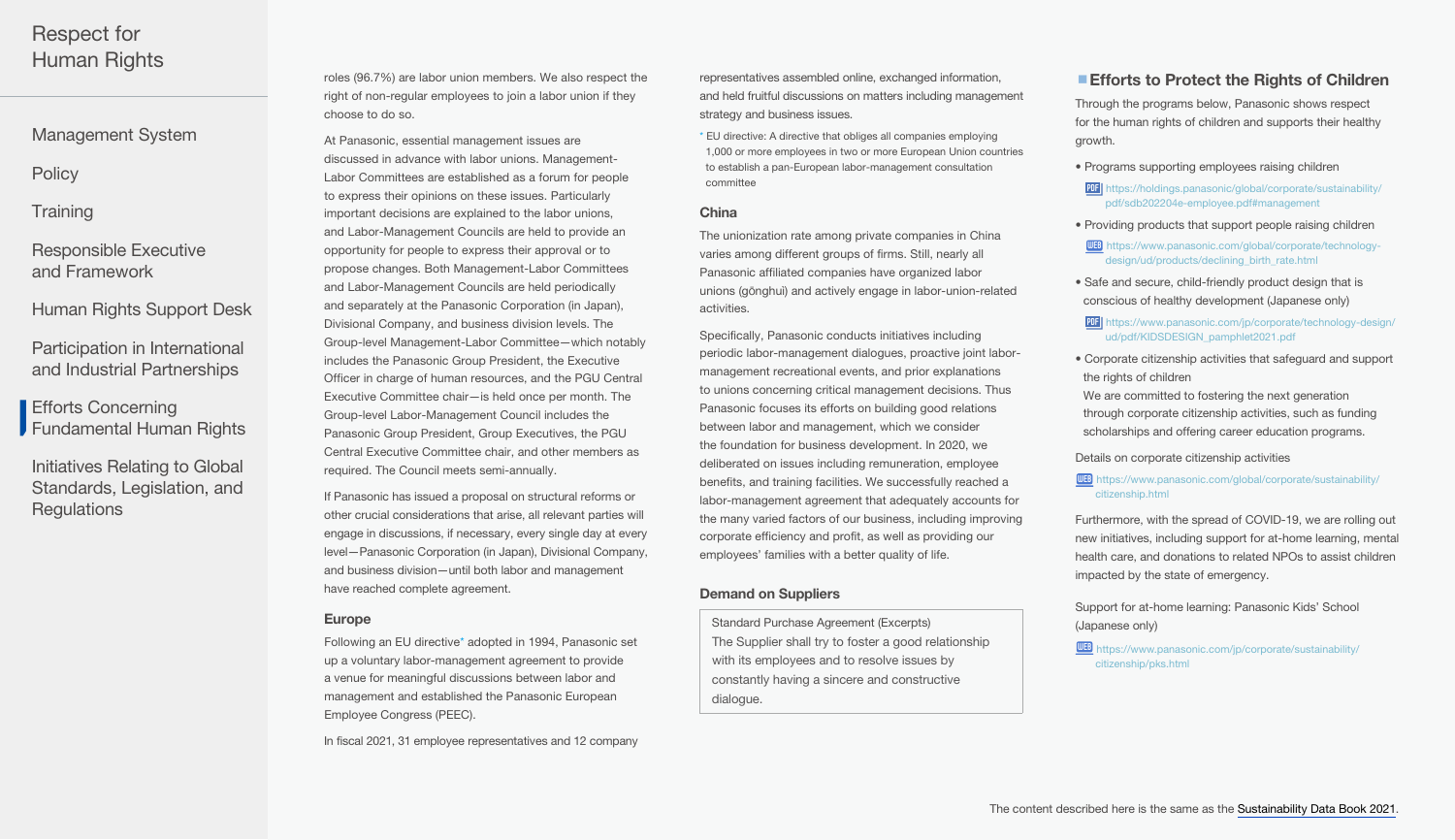[Management System](#page-0-0)

**[Policy](#page-0-0)** 

## **Training**

[Responsible Executive](#page-1-0)  and Framework

[Human Rights Support Desk](#page-1-0)

[Participation in International](#page-1-0)  and Industrial Partnerships

Efforts Concerning [Fundamental Human Rights](#page-2-0) 

[Initiatives Relating to Global](#page-5-0)  Standards, Legislation, and **Regulations** 

roles (96.7%) are labor union members. We also respect the right of non-regular employees to join a labor union if they choose to do so.

At Panasonic, essential management issues are discussed in advance with labor unions. Management-Labor Committees are established as a forum for people to express their opinions on these issues. Particularly important decisions are explained to the labor unions, and Labor-Management Councils are held to provide an opportunity for people to express their approval or to propose changes. Both Management-Labor Committees and Labor-Management Councils are held periodically and separately at the Panasonic Corporation (in Japan), Divisional Company, and business division levels. The Group-level Management-Labor Committee—which notably includes the Panasonic Group President, the Executive Officer in charge of human resources, and the PGU Central Executive Committee chair—is held once per month. The Group-level Labor-Management Council includes the Panasonic Group President, Group Executives, the PGU Central Executive Committee chair, and other members as required. The Council meets semi-annually.

If Panasonic has issued a proposal on structural reforms or other crucial considerations that arise, all relevant parties will engage in discussions, if necessary, every single day at every level—Panasonic Corporation (in Japan), Divisional Company, and business division—until both labor and management have reached complete agreement.

#### Europe

Following an EU directive\* adopted in 1994, Panasonic set up a voluntary labor-management agreement to provide a venue for meaningful discussions between labor and management and established the Panasonic European Employee Congress (PEEC).

In fiscal 2021, 31 employee representatives and 12 company

representatives assembled online, exchanged information, and held fruitful discussions on matters including management strategy and business issues.

\* EU directive: A directive that obliges all companies employing 1,000 or more employees in two or more European Union countries to establish a pan-European labor-management consultation committee

#### China

The unionization rate among private companies in China varies among different groups of firms. Still, nearly all Panasonic affiliated companies have organized labor unions (gōnghuì) and actively engage in labor-union-related activities.

Specifically, Panasonic conducts initiatives including periodic labor-management dialogues, proactive joint labormanagement recreational events, and prior explanations to unions concerning critical management decisions. Thus Panasonic focuses its efforts on building good relations between labor and management, which we consider the foundation for business development. In 2020, we deliberated on issues including remuneration, employee benefits, and training facilities. We successfully reached a labor-management agreement that adequately accounts for the many varied factors of our business, including improving corporate efficiency and profit, as well as providing our employees' families with a better quality of life.

#### Demand on Suppliers

Standard Purchase Agreement (Excerpts) The Supplier shall try to foster a good relationship with its employees and to resolve issues by constantly having a sincere and constructive dialogue.

# **Efforts to Protect the Rights of Children**

Through the programs below, Panasonic shows respect for the human rights of children and supports their healthy growth.

- Programs supporting employees raising children
- PDF [https://holdings.panasonic/global/corporate/sustainability/](https://holdings.panasonic/global/corporate/sustainability/pdf/sdb202204e-employee.pdf#management) [pdf/sdb202204e-employee.pdf#management](https://holdings.panasonic/global/corporate/sustainability/pdf/sdb202204e-employee.pdf#management)
- Providing products that support people raising children

WEB [https://www.panasonic.com/global/corporate/technology](https://www.panasonic.com/global/corporate/technology-design/ud/products/declining_birth_rate.html)[design/ud/products/declining\\_birth\\_rate.html](https://www.panasonic.com/global/corporate/technology-design/ud/products/declining_birth_rate.html)

- Safe and secure, child-friendly product design that is conscious of healthy development (Japanese only)
	- PDF [https://www.panasonic.com/jp/corporate/technology-design/](https://www.panasonic.com/jp/corporate/technology-design/ud/pdf/KIDSDESIGN_pamphlet2021.pdf) [ud/pdf/KIDSDESIGN\\_pamphlet2021.pdf](https://www.panasonic.com/jp/corporate/technology-design/ud/pdf/KIDSDESIGN_pamphlet2021.pdf)
- Corporate citizenship activities that safeguard and support the rights of children

We are committed to fostering the next generation through corporate citizenship activities, such as funding scholarships and offering career education programs.

#### Details on corporate citizenship activities

WEB [https://www.panasonic.com/global/corporate/sustainability/](https://www.panasonic.com/global/corporate/sustainability/citizenship.html) [citizenship.html](https://www.panasonic.com/global/corporate/sustainability/citizenship.html)

Furthermore, with the spread of COVID-19, we are rolling out new initiatives, including support for at-home learning, mental health care, and donations to related NPOs to assist children impacted by the state of emergency.

Support for at-home learning: Panasonic Kids' School (Japanese only)

**WEB** [https://www.panasonic.com/jp/corporate/sustainability/](https://www.panasonic.com/jp/corporate/sustainability/citizenship/pks.html) [citizenship/pks.html](https://www.panasonic.com/jp/corporate/sustainability/citizenship/pks.html)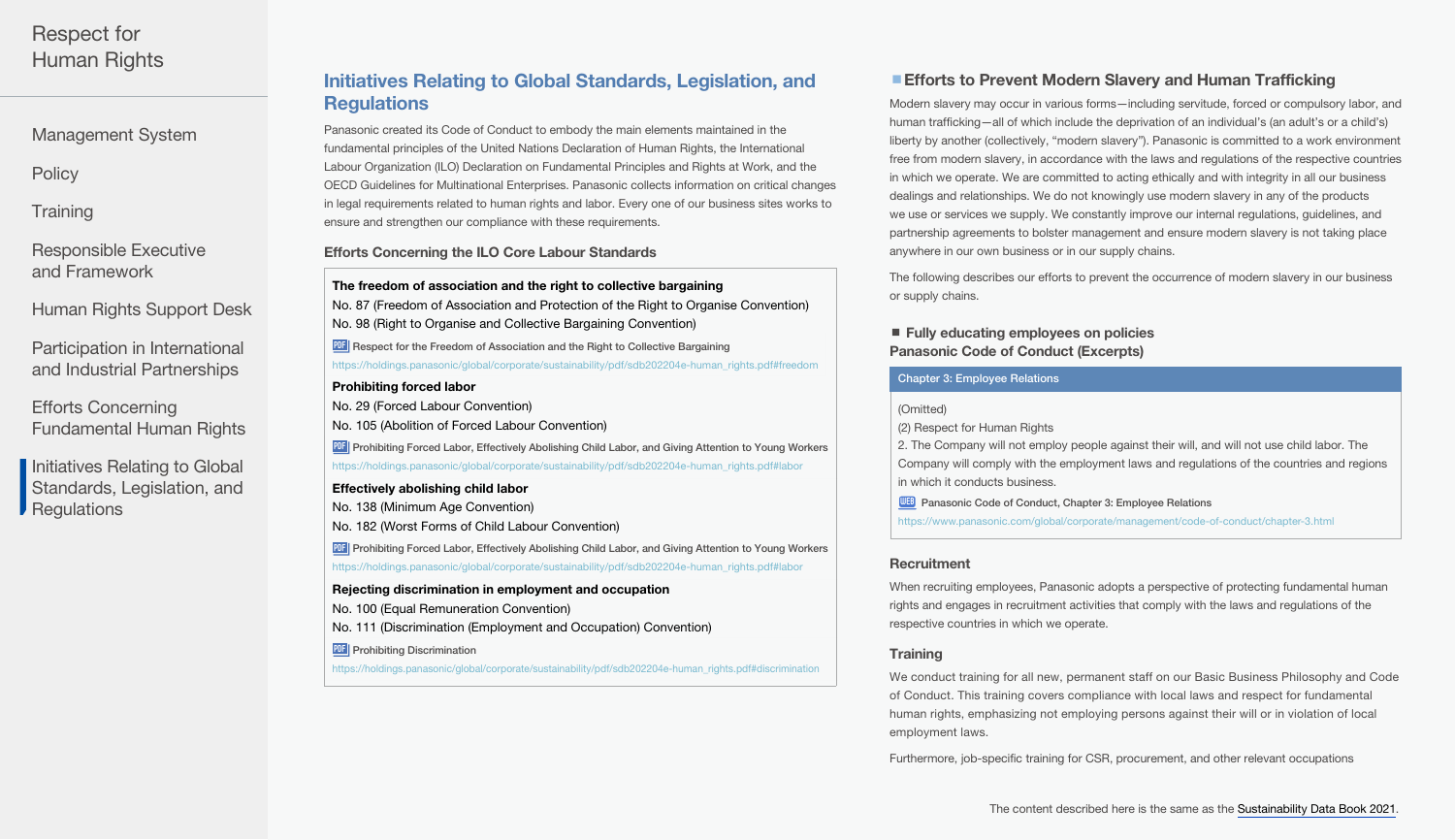<span id="page-5-0"></span>[Management System](#page-0-0)

**[Policy](#page-0-0)** 

**Training** 

[Responsible Executive](#page-1-0)  and Framework

[Human Rights Support Desk](#page-1-0)

[Participation in International](#page-1-0)  and Industrial Partnerships

Efforts Concerning [Fundamental Human Rights](#page-2-0) 

Initiatives Relating to Global Standards, Legislation, and **Regulations** 

# Initiatives Relating to Global Standards, Legislation, and **Regulations**

Panasonic created its Code of Conduct to embody the main elements maintained in the fundamental principles of the United Nations Declaration of Human Rights, the International Labour Organization (ILO) Declaration on Fundamental Principles and Rights at Work, and the OECD Guidelines for Multinational Enterprises. Panasonic collects information on critical changes in legal requirements related to human rights and labor. Every one of our business sites works to ensure and strengthen our compliance with these requirements.

Efforts Concerning the ILO Core Labour Standards

The freedom of association and the right to collective bargaining No. 87 (Freedom of Association and Protection of the Right to Organise Convention) No. 98 (Right to Organise and Collective Bargaining Convention) PDF Respect for the Freedom of Association and the Right to Collective Bargaining [https://holdings.panasonic/global/corporate/sustainability/pdf/sdb202204e-human\\_rights.pdf#freedom](#page-3-0) Prohibiting forced labor No. 29 (Forced Labour Convention)

No. 105 (Abolition of Forced Labour Convention) **PDF** [Prohibiting Forced Labor, Effectively Abolishing Child Labor, and Giving Attention to Young Workers](#page-2-0) https://holdings.panasonic/global/corporate/sustainability/pdf/sdb202204e-human\_rights.pdf#labor

## Effectively abolishing child labor

No. 138 (Minimum Age Convention)

No. 182 (Worst Forms of Child Labour Convention)

**PDF** [Prohibiting Forced Labor, Effectively Abolishing Child Labor, and Giving Attention to Young Workers](#page-2-0) https://holdings.panasonic/global/corporate/sustainability/pdf/sdb202204e-human\_rights.pdf#labor

#### Rejecting discrimination in employment and occupation

No. 100 (Equal Remuneration Convention)

No. 111 (Discrimination (Employment and Occupation) Convention)

**PDF** Prohibiting Discrimination

[https://holdings.panasonic/global/corporate/sustainability/pdf/sdb202204e-human\\_rights.pdf#discrimination](#page-2-0)

# **Efforts to Prevent Modern Slavery and Human Trafficking**

Modern slavery may occur in various forms—including servitude, forced or compulsory labor, and human trafficking—all of which include the deprivation of an individual's (an adult's or a child's) liberty by another (collectively, "modern slavery"). Panasonic is committed to a work environment free from modern slavery, in accordance with the laws and regulations of the respective countries in which we operate. We are committed to acting ethically and with integrity in all our business dealings and relationships. We do not knowingly use modern slavery in any of the products we use or services we supply. We constantly improve our internal regulations, guidelines, and partnership agreements to bolster management and ensure modern slavery is not taking place anywhere in our own business or in our supply chains.

The following describes our efforts to prevent the occurrence of modern slavery in our business or supply chains.

## ■ Fully educating employees on policies Panasonic Code of Conduct (Excerpts)

#### Chapter 3: Employee Relations

#### (Omitted)

(2) Respect for Human Rights

2. The Company will not employ people against their will, and will not use child labor. The Company will comply with the employment laws and regulations of the countries and regions in which it conducts business.

**WEB** [Panasonic Code of Conduct, Chapter 3: Employee Relations](https://www.panasonic.com/global/corporate/management/code-of-conduct/chapter-3.html)

<https://www.panasonic.com/global/corporate/management/code-of-conduct/chapter-3.html>

## **Recruitment**

When recruiting employees, Panasonic adopts a perspective of protecting fundamental human rights and engages in recruitment activities that comply with the laws and regulations of the respective countries in which we operate.

## **Training**

We conduct training for all new, permanent staff on our Basic Business Philosophy and Code of Conduct. This training covers compliance with local laws and respect for fundamental human rights, emphasizing not employing persons against their will or in violation of local employment laws.

Furthermore, job-specific training for CSR, procurement, and other relevant occupations